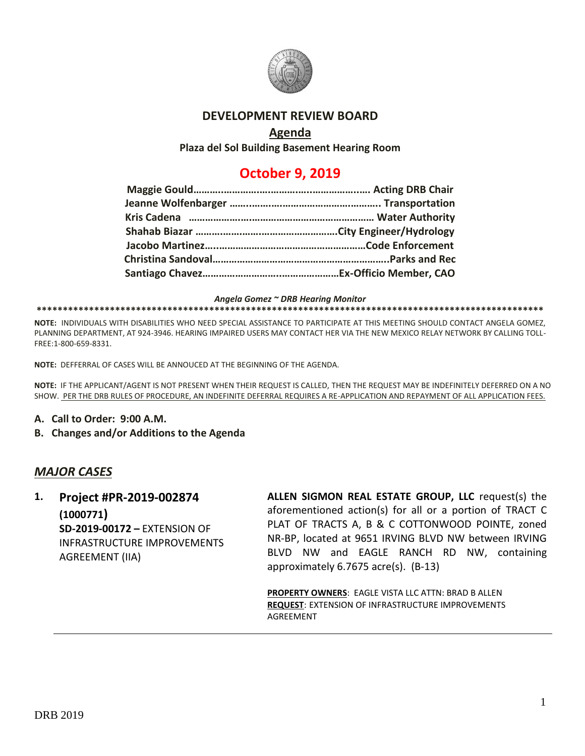

### **DEVELOPMENT REVIEW BOARD**

### **Agenda**

**Plaza del Sol Building Basement Hearing Room**

# **October 9, 2019**

*Angela Gomez ~ DRB Hearing Monitor*

**\*\*\*\*\*\*\*\*\*\*\*\*\*\*\*\*\*\*\*\*\*\*\*\*\*\*\*\*\*\*\*\*\*\*\*\*\*\*\*\*\*\*\*\*\*\*\*\*\*\*\*\*\*\*\*\*\*\*\*\*\*\*\*\*\*\*\*\*\*\*\*\*\*\*\*\*\*\*\*\*\*\*\*\*\*\*\*\*\*\*\*\*\*\*\*\*\***

**NOTE:** INDIVIDUALS WITH DISABILITIES WHO NEED SPECIAL ASSISTANCE TO PARTICIPATE AT THIS MEETING SHOULD CONTACT ANGELA GOMEZ, PLANNING DEPARTMENT, AT 924-3946. HEARING IMPAIRED USERS MAY CONTACT HER VIA THE NEW MEXICO RELAY NETWORK BY CALLING TOLL-FREE:1-800-659-8331.

**NOTE:** DEFFERRAL OF CASES WILL BE ANNOUCED AT THE BEGINNING OF THE AGENDA.

**NOTE:** IF THE APPLICANT/AGENT IS NOT PRESENT WHEN THEIR REQUEST IS CALLED, THEN THE REQUEST MAY BE INDEFINITELY DEFERRED ON A NO SHOW. PER THE DRB RULES OF PROCEDURE, AN INDEFINITE DEFERRAL REQUIRES A RE-APPLICATION AND REPAYMENT OF ALL APPLICATION FEES.

- **A. Call to Order: 9:00 A.M.**
- **B. Changes and/or Additions to the Agenda**

## *MAJOR CASES*

**1. Project #PR-2019-002874 (1000771) SD-2019-00172 –** EXTENSION OF INFRASTRUCTURE IMPROVEMENTS AGREEMENT (IIA)

**ALLEN SIGMON REAL ESTATE GROUP, LLC** request(s) the aforementioned action(s) for all or a portion of TRACT C PLAT OF TRACTS A, B & C COTTONWOOD POINTE, zoned NR-BP, located at 9651 IRVING BLVD NW between IRVING BLVD NW and EAGLE RANCH RD NW, containing approximately 6.7675 acre(s). (B-13)

**PROPERTY OWNERS**: EAGLE VISTA LLC ATTN: BRAD B ALLEN **REQUEST**: EXTENSION OF INFRASTRUCTURE IMPROVEMENTS AGREEMENT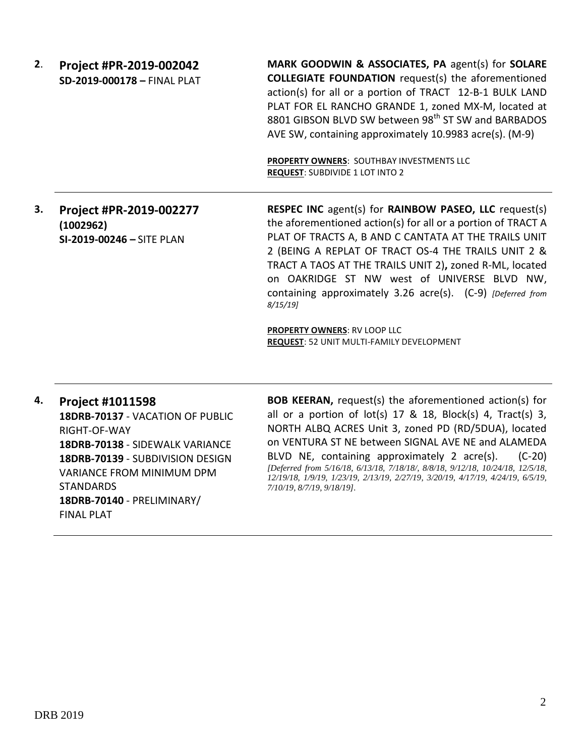**2**. **Project #PR-2019-002042 SD-2019-000178 –** FINAL PLAT **MARK GOODWIN & ASSOCIATES, PA** agent(s) for **SOLARE COLLEGIATE FOUNDATION** request(s) the aforementioned action(s) for all or a portion of TRACT 12-B-1 BULK LAND PLAT FOR EL RANCHO GRANDE 1, zoned MX-M, located at 8801 GIBSON BLVD SW between 98<sup>th</sup> ST SW and BARBADOS AVE SW, containing approximately 10.9983 acre(s). (M-9) **PROPERTY OWNERS**: SOUTHBAY INVESTMENTS LLC **REQUEST**: SUBDIVIDE 1 LOT INTO 2 **3. Project #PR-2019-002277 (1002962) SI-2019-00246 –** SITE PLAN **RESPEC INC** agent(s) for **RAINBOW PASEO, LLC** request(s) the aforementioned action(s) for all or a portion of TRACT A

PLAT OF TRACTS A, B AND C CANTATA AT THE TRAILS UNIT 2 (BEING A REPLAT OF TRACT OS-4 THE TRAILS UNIT 2 & TRACT A TAOS AT THE TRAILS UNIT 2)**,** zoned R-ML, located on OAKRIDGE ST NW west of UNIVERSE BLVD NW, containing approximately 3.26 acre(s). (C-9) *[Deferred from 8/15/19]*

**PROPERTY OWNERS**: RV LOOP LLC **REQUEST**: 52 UNIT MULTI-FAMILY DEVELOPMENT

**4. Project #1011598 18DRB-70137** - VACATION OF PUBLIC RIGHT-OF-WAY **18DRB-70138** - SIDEWALK VARIANCE **18DRB-70139** - SUBDIVISION DESIGN VARIANCE FROM MINIMUM DPM STANDARDS **18DRB-70140** - PRELIMINARY/ FINAL PLAT

**BOB KEERAN,** request(s) the aforementioned action(s) for all or a portion of  $lot(s)$  17 & 18, Block(s) 4, Tract(s) 3, NORTH ALBQ ACRES Unit 3, zoned PD (RD/5DUA), located on VENTURA ST NE between SIGNAL AVE NE and ALAMEDA BLVD NE, containing approximately 2 acre(s). (C-20) *[Deferred from 5/16/18, 6/13/18, 7/18/18/, 8/8/18, 9/12/18, 10/24/18, 12/5/18, 12/19/18, 1/9/19, 1/23/19, 2/13/19, 2/27/19, 3/20/19, 4/17/19, 4/24/19, 6/5/19, 7/10/19, 8/7/19, 9/18/19].*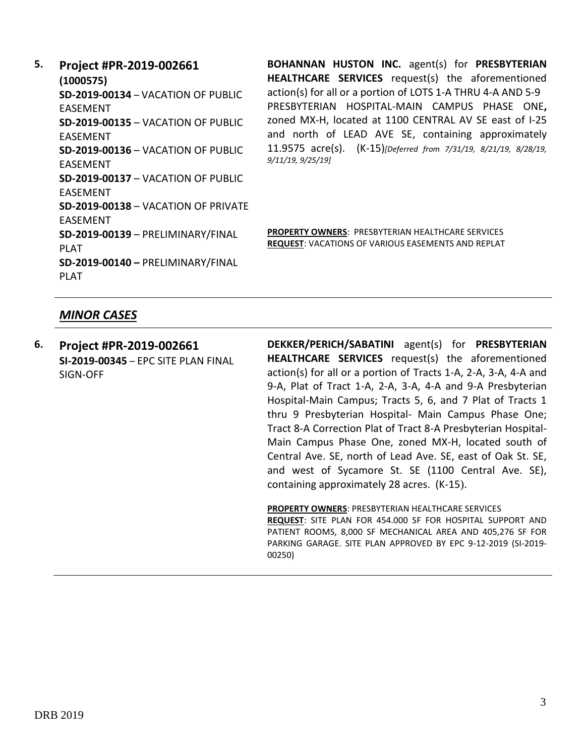# **5. Project #PR-2019-002661**

**(1000575) SD-2019-00134** – VACATION OF PUBLIC EASEMENT **SD-2019-00135** – VACATION OF PUBLIC EASEMENT **SD-2019-00136** – VACATION OF PUBLIC EASEMENT **SD-2019-00137** – VACATION OF PUBLIC EASEMENT **SD-2019-00138** – VACATION OF PRIVATE EASEMENT **SD-2019-00139** – PRELIMINARY/FINAL PLAT **SD-2019-00140 –** PRELIMINARY/FINAL PLAT

**BOHANNAN HUSTON INC.** agent(s) for **PRESBYTERIAN HEALTHCARE SERVICES** request(s) the aforementioned action(s) for all or a portion of LOTS 1-A THRU 4-A AND 5-9 PRESBYTERIAN HOSPITAL-MAIN CAMPUS PHASE ONE**,**  zoned MX-H, located at 1100 CENTRAL AV SE east of I-25 and north of LEAD AVE SE, containing approximately 11.9575 acre(s). (K-15)*[Deferred from 7/31/19, 8/21/19, 8/28/19, 9/11/19, 9/25/19]*

**PROPERTY OWNERS**: PRESBYTERIAN HEALTHCARE SERVICES **REQUEST**: VACATIONS OF VARIOUS EASEMENTS AND REPLAT

#### *MINOR CASES*

**6. Project #PR-2019-002661 SI-2019-00345** – EPC SITE PLAN FINAL SIGN-OFF

**DEKKER/PERICH/SABATINI** agent(s) for **PRESBYTERIAN HEALTHCARE SERVICES** request(s) the aforementioned action(s) for all or a portion of Tracts 1-A, 2-A, 3-A, 4-A and 9-A, Plat of Tract 1-A, 2-A, 3-A, 4-A and 9-A Presbyterian Hospital-Main Campus; Tracts 5, 6, and 7 Plat of Tracts 1 thru 9 Presbyterian Hospital- Main Campus Phase One; Tract 8-A Correction Plat of Tract 8-A Presbyterian Hospital-Main Campus Phase One, zoned MX-H, located south of Central Ave. SE, north of Lead Ave. SE, east of Oak St. SE, and west of Sycamore St. SE (1100 Central Ave. SE), containing approximately 28 acres. (K-15).

**PROPERTY OWNERS**: PRESBYTERIAN HEALTHCARE SERVICES **REQUEST**: SITE PLAN FOR 454.000 SF FOR HOSPITAL SUPPORT AND PATIENT ROOMS, 8,000 SF MECHANICAL AREA AND 405,276 SF FOR PARKING GARAGE. SITE PLAN APPROVED BY EPC 9-12-2019 (SI-2019- 00250)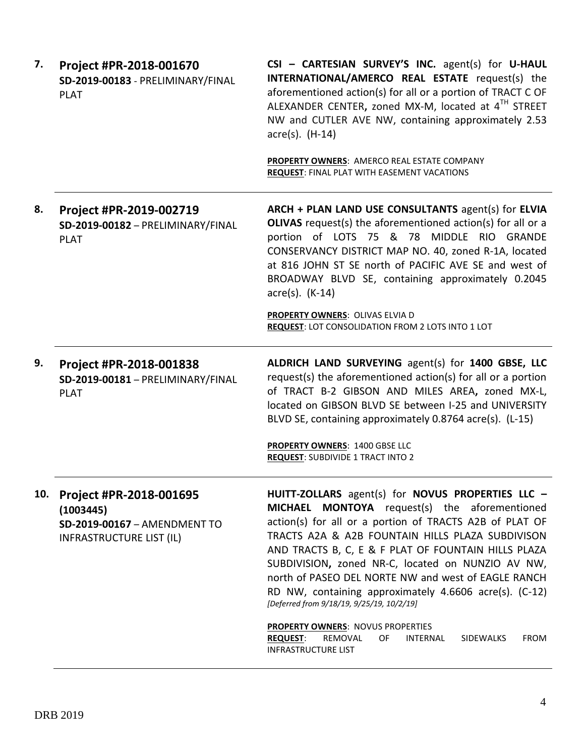| 7.  | Project #PR-2018-001670<br>SD-2019-00183 - PRELIMINARY/FINAL<br><b>PLAT</b>                             | CSI - CARTESIAN SURVEY'S INC. agent(s) for U-HAUL<br>INTERNATIONAL/AMERCO REAL ESTATE request(s) the<br>aforementioned action(s) for all or a portion of TRACT C OF<br>ALEXANDER CENTER, zoned MX-M, located at 4TH STREET<br>NW and CUTLER AVE NW, containing approximately 2.53<br>$\arccos$ . (H-14)                                                                                                                                                                                     |
|-----|---------------------------------------------------------------------------------------------------------|---------------------------------------------------------------------------------------------------------------------------------------------------------------------------------------------------------------------------------------------------------------------------------------------------------------------------------------------------------------------------------------------------------------------------------------------------------------------------------------------|
|     |                                                                                                         | PROPERTY OWNERS: AMERCO REAL ESTATE COMPANY<br><b>REQUEST: FINAL PLAT WITH EASEMENT VACATIONS</b>                                                                                                                                                                                                                                                                                                                                                                                           |
| 8.  | Project #PR-2019-002719<br>SD-2019-00182 - PRELIMINARY/FINAL<br><b>PLAT</b>                             | ARCH + PLAN LAND USE CONSULTANTS agent(s) for ELVIA<br><b>OLIVAS</b> request(s) the aforementioned action(s) for all or a<br>portion of LOTS 75 & 78 MIDDLE RIO GRANDE<br>CONSERVANCY DISTRICT MAP NO. 40, zoned R-1A, located<br>at 816 JOHN ST SE north of PACIFIC AVE SE and west of<br>BROADWAY BLVD SE, containing approximately 0.2045<br>$\arccos(5)$ . (K-14)<br>PROPERTY OWNERS: OLIVAS ELVIA D<br>REQUEST: LOT CONSOLIDATION FROM 2 LOTS INTO 1 LOT                               |
| 9.  | Project #PR-2018-001838<br>SD-2019-00181 - PRELIMINARY/FINAL<br><b>PLAT</b>                             | ALDRICH LAND SURVEYING agent(s) for 1400 GBSE, LLC<br>request(s) the aforementioned action(s) for all or a portion<br>of TRACT B-2 GIBSON AND MILES AREA, zoned MX-L,<br>located on GIBSON BLVD SE between I-25 and UNIVERSITY<br>BLVD SE, containing approximately 0.8764 acre(s). (L-15)                                                                                                                                                                                                  |
|     |                                                                                                         | <b>PROPERTY OWNERS: 1400 GBSE LLC</b><br><b>REQUEST: SUBDIVIDE 1 TRACT INTO 2</b>                                                                                                                                                                                                                                                                                                                                                                                                           |
| 10. | Project #PR-2018-001695<br>(1003445)<br>SD-2019-00167 - AMENDMENT TO<br><b>INFRASTRUCTURE LIST (IL)</b> | HUITT-ZOLLARS agent(s) for NOVUS PROPERTIES LLC -<br>MICHAEL MONTOYA request(s) the aforementioned<br>action(s) for all or a portion of TRACTS A2B of PLAT OF<br>TRACTS A2A & A2B FOUNTAIN HILLS PLAZA SUBDIVISON<br>AND TRACTS B, C, E & F PLAT OF FOUNTAIN HILLS PLAZA<br>SUBDIVISION, zoned NR-C, located on NUNZIO AV NW,<br>north of PASEO DEL NORTE NW and west of EAGLE RANCH<br>RD NW, containing approximately 4.6606 acre(s). (C-12)<br>[Deferred from 9/18/19, 9/25/19, 10/2/19] |
|     |                                                                                                         | <b>PROPERTY OWNERS: NOVUS PROPERTIES</b><br><b>REQUEST:</b><br>REMOVAL<br>OF<br><b>INTERNAL</b><br><b>FROM</b><br>SIDEWALKS<br><b>INFRASTRUCTURE LIST</b>                                                                                                                                                                                                                                                                                                                                   |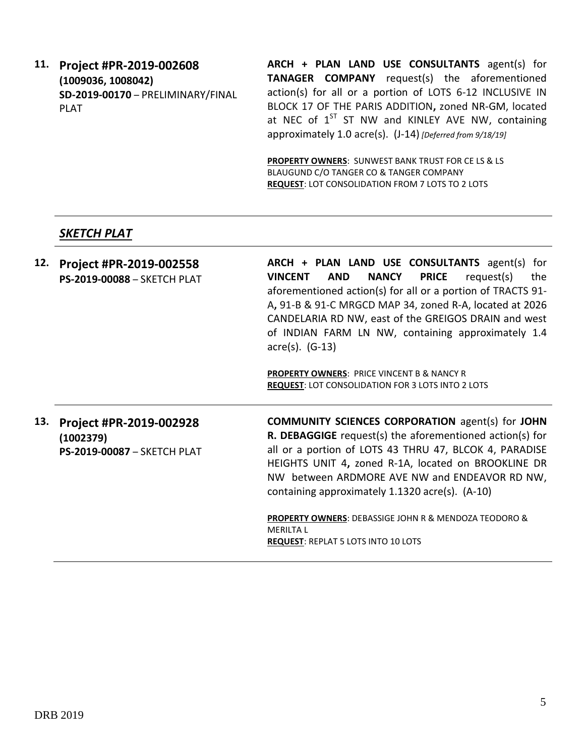**11. Project #PR-2019-002608 (1009036, 1008042) SD-2019-00170** – PRELIMINARY/FINAL PLAT

**ARCH + PLAN LAND USE CONSULTANTS** agent(s) for **TANAGER COMPANY** request(s) the aforementioned action(s) for all or a portion of LOTS 6-12 INCLUSIVE IN BLOCK 17 OF THE PARIS ADDITION**,** zoned NR-GM, located at NEC of  $1^{ST}$  ST NW and KINLEY AVE NW, containing approximately 1.0 acre(s). (J-14) *[Deferred from 9/18/19]*

**PROPERTY OWNERS**: SUNWEST BANK TRUST FOR CE LS & LS BLAUGUND C/O TANGER CO & TANGER COMPANY **REQUEST**: LOT CONSOLIDATION FROM 7 LOTS TO 2 LOTS

### *SKETCH PLAT*

**(1002379)**

**PS-2019-00087** – SKETCH PLAT

| 12. | Project #PR-2019-002558<br>PS-2019-00088 - SKETCH PLAT | ARCH + PLAN LAND USE CONSULTANTS agent(s) for<br><b>PRICE</b><br><b>NANCY</b><br><b>VINCENT</b><br>AND<br>request(s)<br>the         |
|-----|--------------------------------------------------------|-------------------------------------------------------------------------------------------------------------------------------------|
|     |                                                        | aforementioned action(s) for all or a portion of TRACTS 91-                                                                         |
|     |                                                        | A, 91-B & 91-C MRGCD MAP 34, zoned R-A, located at 2026                                                                             |
|     |                                                        | CANDELARIA RD NW, east of the GREIGOS DRAIN and west<br>of INDIAN FARM LN NW, containing approximately 1.4<br>$\arccos(5)$ . (G-13) |
|     |                                                        | <b>PROPERTY OWNERS: PRICE VINCENT B &amp; NANCY R</b>                                                                               |
|     |                                                        | <b>REQUEST: LOT CONSOLIDATION FOR 3 LOTS INTO 2 LOTS</b>                                                                            |
| 13. | Project #PR-2019-002928                                | <b>COMMUNITY SCIENCES CORPORATION agent(s) for JOHN</b>                                                                             |

**R. DEBAGGIGE** request(s) the aforementioned action(s) for all or a portion of LOTS 43 THRU 47, BLCOK 4, PARADISE HEIGHTS UNIT 4**,** zoned R-1A, located on BROOKLINE DR NW between ARDMORE AVE NW and ENDEAVOR RD NW, containing approximately 1.1320 acre(s). (A-10)

**PROPERTY OWNERS**: DEBASSIGE JOHN R & MENDOZA TEODORO & MERILTA L **REQUEST**: REPLAT 5 LOTS INTO 10 LOTS